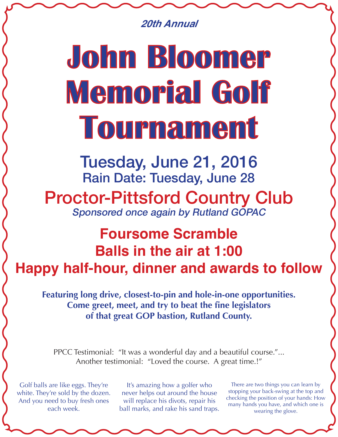*20th Annual*

## John Bloomer Memorial Golf Tournament

Tuesday, June 21, 2016 Rain Date: Tuesday, June 28 Proctor-Pittsford Country Club Sponsored once again by Rutland GOPAC

## **Foursome Scramble Balls in the air at 1:00 Happy half-hour, dinner and awards to follow**

**Featuring long drive, closest-to-pin and hole-in-one opportunities. Come greet, meet, and try to beat the fine legislators of that great GOP bastion, Rutland County.** 

PPCC Testimonial: "It was a wonderful day and a beautiful course."... Another testimonial: "Loved the course. A great time.!"

Golf balls are like eggs. They're white. They're sold by the dozen. And you need to buy fresh ones each week.

It's amazing how a golfer who never helps out around the house will replace his divots, repair his ball marks, and rake his sand traps.

There are two things you can learn by stopping your back-swing at the top and checking the position of your hands: How many hands you have, and which one is wearing the glove.